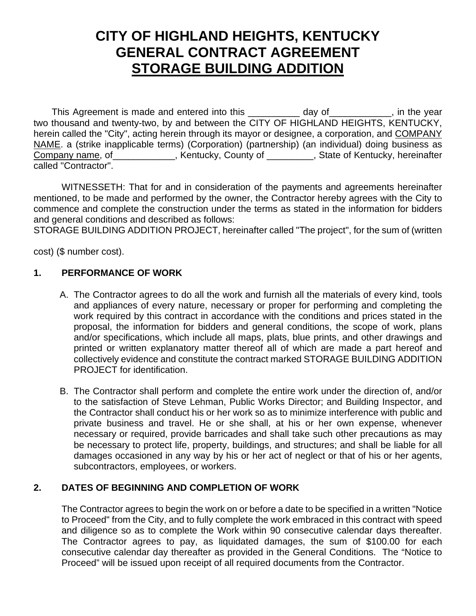# **CITY OF HIGHLAND HEIGHTS, KENTUCKY GENERAL CONTRACT AGREEMENT STORAGE BUILDING ADDITION**

This Agreement is made and entered into this day of enterchangle in the year two thousand and twenty-two, by and between the CITY OF HIGHLAND HEIGHTS, KENTUCKY, herein called the "City", acting herein through its mayor or designee, a corporation, and COMPANY NAME. a (strike inapplicable terms) (Corporation) (partnership) (an individual) doing business as Company name, of \_\_\_\_\_\_\_\_\_\_\_, Kentucky, County of \_\_\_\_\_\_\_\_, State of Kentucky, hereinafter called "Contractor".

WITNESSETH: That for and in consideration of the payments and agreements hereinafter mentioned, to be made and performed by the owner, the Contractor hereby agrees with the City to commence and complete the construction under the terms as stated in the information for bidders and general conditions and described as follows:

STORAGE BUILDING ADDITION PROJECT, hereinafter called "The project", for the sum of (written

cost) (\$ number cost).

### **1. PERFORMANCE OF WORK**

- A. The Contractor agrees to do all the work and furnish all the materials of every kind, tools and appliances of every nature, necessary or proper for performing and completing the work required by this contract in accordance with the conditions and prices stated in the proposal, the information for bidders and general conditions, the scope of work, plans and/or specifications, which include all maps, plats, blue prints, and other drawings and printed or written explanatory matter thereof all of which are made a part hereof and collectively evidence and constitute the contract marked STORAGE BUILDING ADDITION PROJECT for identification.
- B. The Contractor shall perform and complete the entire work under the direction of, and/or to the satisfaction of Steve Lehman, Public Works Director; and Building Inspector, and the Contractor shall conduct his or her work so as to minimize interference with public and private business and travel. He or she shall, at his or her own expense, whenever necessary or required, provide barricades and shall take such other precautions as may be necessary to protect life, property, buildings, and structures; and shall be liable for all damages occasioned in any way by his or her act of neglect or that of his or her agents, subcontractors, employees, or workers.

### **2. DATES OF BEGINNING AND COMPLETION OF WORK**

 The Contractor agrees to begin the work on or before a date to be specified in a written "Notice to Proceed" from the City, and to fully complete the work embraced in this contract with speed and diligence so as to complete the Work within 90 consecutive calendar days thereafter. The Contractor agrees to pay, as liquidated damages, the sum of \$100.00 for each consecutive calendar day thereafter as provided in the General Conditions. The "Notice to Proceed" will be issued upon receipt of all required documents from the Contractor.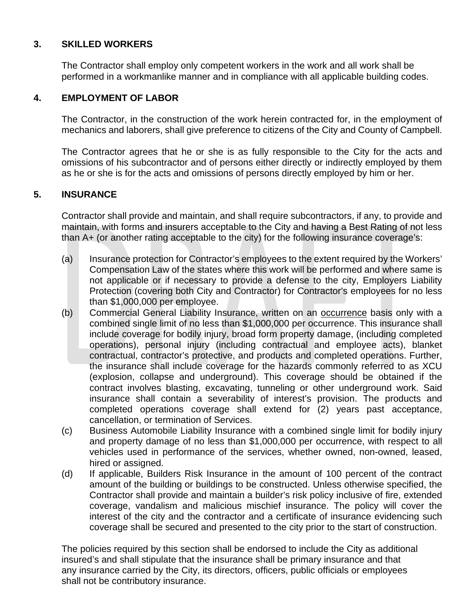### **3. SKILLED WORKERS**

 The Contractor shall employ only competent workers in the work and all work shall be performed in a workmanlike manner and in compliance with all applicable building codes.

### **4. EMPLOYMENT OF LABOR**

 The Contractor, in the construction of the work herein contracted for, in the employment of mechanics and laborers, shall give preference to citizens of the City and County of Campbell.

The Contractor agrees that he or she is as fully responsible to the City for the acts and omissions of his subcontractor and of persons either directly or indirectly employed by them as he or she is for the acts and omissions of persons directly employed by him or her.

### **5. INSURANCE**

Contractor shall provide and maintain, and shall require subcontractors, if any, to provide and maintain, with forms and insurers acceptable to the City and having a Best Rating of not less than A+ (or another rating acceptable to the city) for the following insurance coverage's:

- (a) Insurance protection for Contractor's employees to the extent required by the Workers' Compensation Law of the states where this work will be performed and where same is not applicable or if necessary to provide a defense to the city, Employers Liability Protection (covering both City and Contractor) for Contractor's employees for no less than \$1,000,000 per employee.
- (b) Commercial General Liability Insurance, written on an occurrence basis only with a combined single limit of no less than \$1,000,000 per occurrence. This insurance shall include coverage for bodily injury, broad form property damage, (including completed operations), personal injury (including contractual and employee acts), blanket contractual, contractor's protective, and products and completed operations. Further, the insurance shall include coverage for the hazards commonly referred to as XCU (explosion, collapse and underground). This coverage should be obtained if the contract involves blasting, excavating, tunneling or other underground work. Said insurance shall contain a severability of interest's provision. The products and completed operations coverage shall extend for (2) years past acceptance, cancellation, or termination of Services.
- (c) Business Automobile Liability Insurance with a combined single limit for bodily injury and property damage of no less than \$1,000,000 per occurrence, with respect to all vehicles used in performance of the services, whether owned, non-owned, leased, hired or assigned.
- (d) If applicable, Builders Risk Insurance in the amount of 100 percent of the contract amount of the building or buildings to be constructed. Unless otherwise specified, the Contractor shall provide and maintain a builder's risk policy inclusive of fire, extended coverage, vandalism and malicious mischief insurance. The policy will cover the interest of the city and the contractor and a certificate of insurance evidencing such coverage shall be secured and presented to the city prior to the start of construction.

The policies required by this section shall be endorsed to include the City as additional insured's and shall stipulate that the insurance shall be primary insurance and that any insurance carried by the City, its directors, officers, public officials or employees shall not be contributory insurance.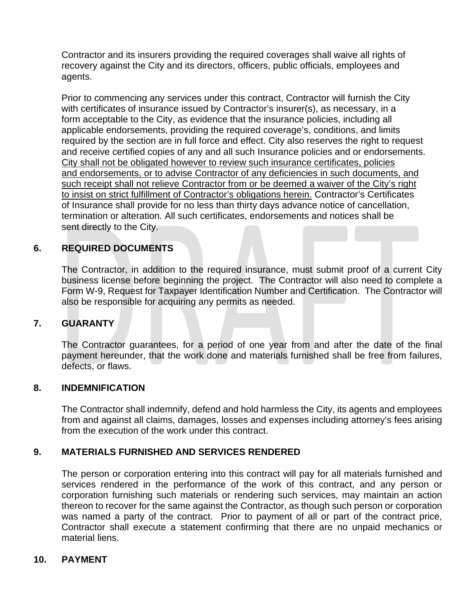Contractor and its insurers providing the required coverages shall waive all rights of recovery against the City and its directors, officers, public officials, employees and agents.

Prior to commencing any services under this contract, Contractor will furnish the City with certificates of insurance issued by Contractor's insurer(s), as necessary, in a form acceptable to the City, as evidence that the insurance policies, including all applicable endorsements, providing the required coverage's, conditions, and limits required by the section are in full force and effect. City also reserves the right to request and receive certified copies of any and all such Insurance policies and or endorsements. City shall not be obligated however to review such insurance certificates, policies and endorsements, or to advise Contractor of any deficiencies in such documents, and such receipt shall not relieve Contractor from or be deemed a waiver of the City's right to insist on strict fulfillment of Contractor's obligations herein. Contractor's Certificates of Insurance shall provide for no less than thirty days advance notice of cancellation, termination or alteration. All such certificates, endorsements and notices shall be sent directly to the City.

## **6. REQUIRED DOCUMENTS**

The Contractor, in addition to the required insurance, must submit proof of a current City business license before beginning the project. The Contractor will also need to complete a Form W-9, Request for Taxpayer Identification Number and Certification. The Contractor will also be responsible for acquiring any permits as needed.

### **7. GUARANTY**

 The Contractor guarantees, for a period of one year from and after the date of the final payment hereunder, that the work done and materials furnished shall be free from failures, defects, or flaws.

### **8. INDEMNIFICATION**

 The Contractor shall indemnify, defend and hold harmless the City, its agents and employees from and against all claims, damages, losses and expenses including attorney's fees arising from the execution of the work under this contract.

### **9. MATERIALS FURNISHED AND SERVICES RENDERED**

 The person or corporation entering into this contract will pay for all materials furnished and services rendered in the performance of the work of this contract, and any person or corporation furnishing such materials or rendering such services, may maintain an action thereon to recover for the same against the Contractor, as though such person or corporation was named a party of the contract. Prior to payment of all or part of the contract price, Contractor shall execute a statement confirming that there are no unpaid mechanics or material liens.

### **10. PAYMENT**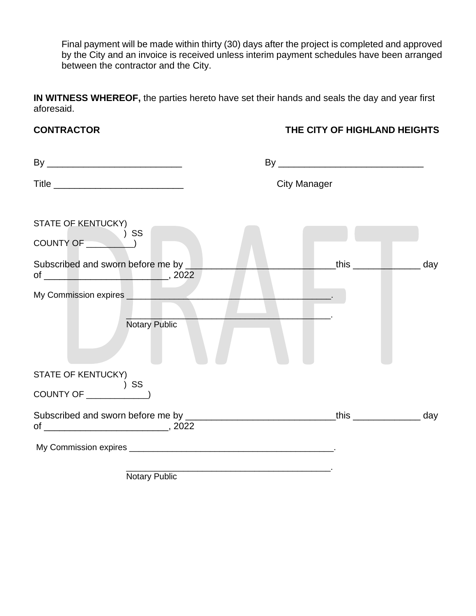Final payment will be made within thirty (30) days after the project is completed and approved by the City and an invoice is received unless interim payment schedules have been arranged between the contractor and the City.

**IN WITNESS WHEREOF,** the parties hereto have set their hands and seals the day and year first aforesaid.

## **CONTRACTOR THE CITY OF HIGHLAND HEIGHTS**

|                                                                                                                                      | <b>City Manager</b>         |  |
|--------------------------------------------------------------------------------------------------------------------------------------|-----------------------------|--|
| STATE OF KENTUCKY)<br>SS COUNTY OF <sup>3</sup><br>Subscribed and sworn before me by _<br>My Commission expires <b>My Commission</b> | ___this _______________ day |  |
| Notary Public                                                                                                                        |                             |  |
| <b>STATE OF KENTUCKY)</b><br>$\overline{\phantom{a}}$ SS<br>COUNTY OF $\overline{\qquad \qquad }$                                    |                             |  |
|                                                                                                                                      |                             |  |
|                                                                                                                                      |                             |  |

Notary Public